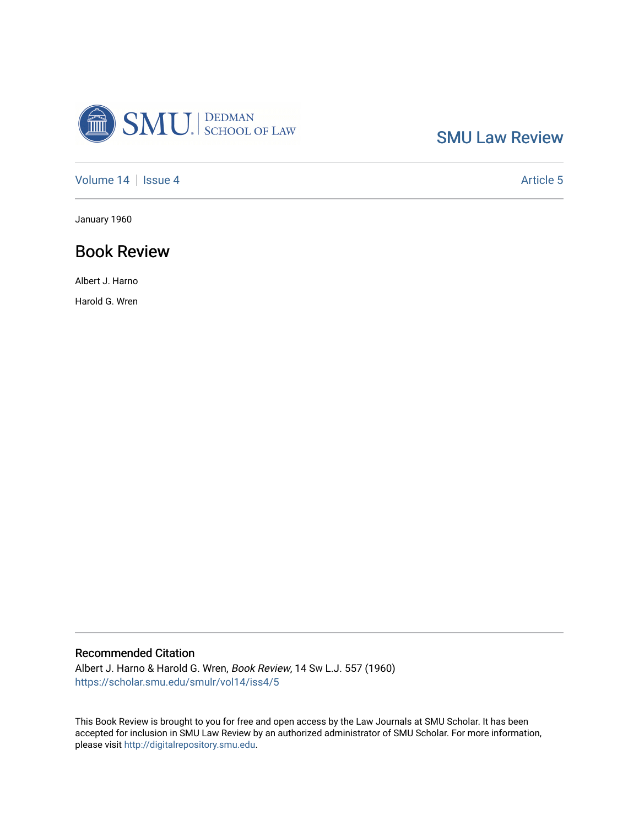

[SMU Law Review](https://scholar.smu.edu/smulr) 

[Volume 14](https://scholar.smu.edu/smulr/vol14) | [Issue 4](https://scholar.smu.edu/smulr/vol14/iss4) Article 5

January 1960

## Book Review

Albert J. Harno

Harold G. Wren

### Recommended Citation

Albert J. Harno & Harold G. Wren, Book Review, 14 SW L.J. 557 (1960) [https://scholar.smu.edu/smulr/vol14/iss4/5](https://scholar.smu.edu/smulr/vol14/iss4/5?utm_source=scholar.smu.edu%2Fsmulr%2Fvol14%2Fiss4%2F5&utm_medium=PDF&utm_campaign=PDFCoverPages) 

This Book Review is brought to you for free and open access by the Law Journals at SMU Scholar. It has been accepted for inclusion in SMU Law Review by an authorized administrator of SMU Scholar. For more information, please visit [http://digitalrepository.smu.edu.](http://digitalrepository.smu.edu/)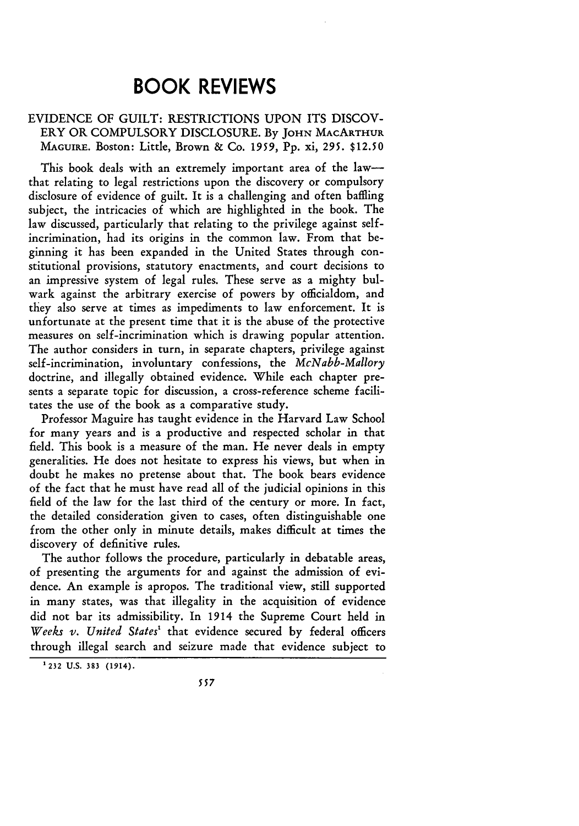# **BOOK REVIEWS**

#### EVIDENCE OF GUILT: RESTRICTIONS UPON ITS DISCOV-ERY OR COMPULSORY DISCLOSURE. By **JOHN** MACARTHUR MAGUIRE. Boston: Little, Brown & Co. 1959, Pp. xi, 295. \$12.50

This book deals with an extremely important area of the lawthat relating to legal restrictions upon the discovery or compulsory disclosure of evidence of guilt. It is a challenging and often baffling subject, the intricacies of which are highlighted in the book. The law discussed, particularly that relating to the privilege against selfincrimination, had its origins in the common law. From that beginning it has been expanded in the United States through constitutional provisions, statutory enactments, and court decisions to an impressive system of legal rules. These serve as a mighty bulwark against the arbitrary exercise of powers by officialdom, and they also serve at times as impediments to law enforcement. It is unfortunate at the present time that it is the abuse of the protective measures on self-incrimination which is drawing popular attention. The author considers in turn, in separate chapters, privilege against self-incrimination, involuntary confessions, the *McNabb-Mallory* doctrine, and illegally obtained evidence. While each chapter presents a separate topic for discussion, a cross-reference scheme facilitates the use of the book as a comparative study.

Professor Maguire has taught evidence in the Harvard Law School for many years and is a productive and respected scholar in that field. This book is a measure of the man. He never deals in empty generalities. He does not hesitate to express his views, but when in doubt he makes no pretense about that. The book bears evidence of the fact that he must have read all of the judicial opinions in this field of the law for the last third of the century or more. In fact, the detailed consideration given to cases, often distinguishable one from the other only in minute details, makes difficult at times the discovery of definitive rules.

The author follows the procedure, particularly in debatable areas, of presenting the arguments for and against the admission of evidence. An example is apropos. The traditional view, still supported in many states, was that illegality in the acquisition of evidence did not bar its admissibility. In 1914 the Supreme Court held in Weeks v. United States<sup>1</sup> that evidence secured by federal officers through illegal search and seizure made that evidence subject to

**<sup>&#</sup>x27;232 U.S.** 383 (1914).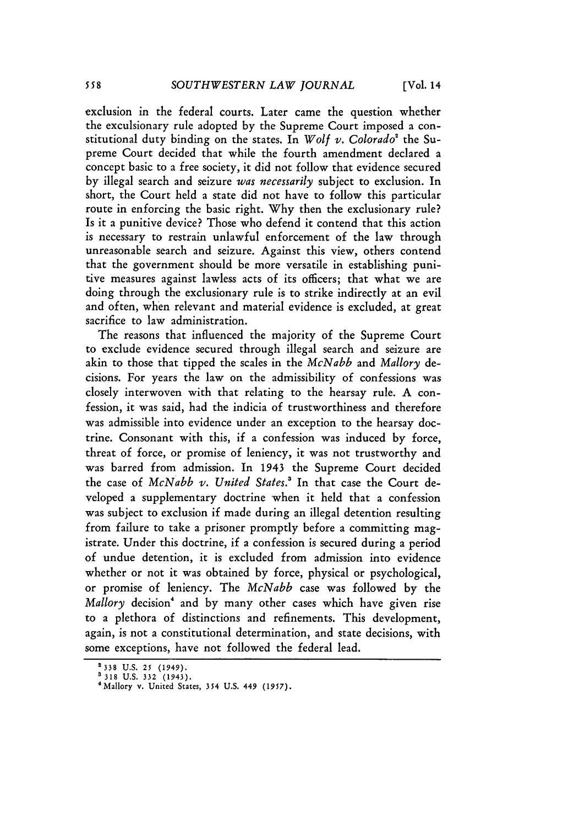exclusion in the federal courts. Later came the question whether the exculsionary rule adopted by the Supreme Court imposed a constitutional duty binding on the states. In *Wolf v. Colorado'* the Supreme Court decided that while the fourth amendment declared a concept basic to a free society, it did not follow that evidence secured by illegal search and seizure *was necessarily* subject to exclusion. In short, the Court held a state did not have to follow this particular route in enforcing the basic right. Why then the exclusionary rule? Is it a punitive device? Those who defend it contend that this action is necessary to restrain unlawful enforcement of the law through unreasonable search and seizure. Against this view, others contend that the government should be more versatile in establishing punitive measures against lawless acts of its officers; that what we are doing through the exclusionary rule is to strike indirectly at an evil and often, when relevant and material evidence is excluded, at great sacrifice to law administration.

The reasons that influenced the majority of the Supreme Court to exclude evidence secured through illegal search and seizure are akin to those that tipped the scales in the *McNabb* and *Mallory* decisions. For years the law on the admissibility of confessions was closely interwoven with that relating to the hearsay rule. A confession, it was said, had the indicia of trustworthiness and therefore was admissible into evidence under an exception to the hearsay doctrine. Consonant with this, if a confession was induced by force, threat of force, or promise of leniency, it was not trustworthy and was barred from admission. In 1943 the Supreme Court decided the case of *McNabb v. United States.'* In that case the Court developed a supplementary doctrine when it held that a confession was subject to exclusion if made during an illegal detention resulting from failure to take a prisoner promptly before a committing magistrate. Under this doctrine, if a confession is secured during a period of undue detention, it is excluded from admission into evidence whether or not it was obtained by force, physical or psychological, or promise of leniency. The *McNabb* case was followed by the Mallory decision<sup>4</sup> and by many other cases which have given rise to a plethora of distinctions and refinements. This development, again, is not a constitutional determination, and state decisions, with some exceptions, have not followed the federal lead.

**<sup>2338</sup> U.S.** *25* (1949).

**<sup>3318</sup>**U.S. **332** (1943). <sup>4</sup> Mallory v. United States, 354 U.S. 449 **(1957).**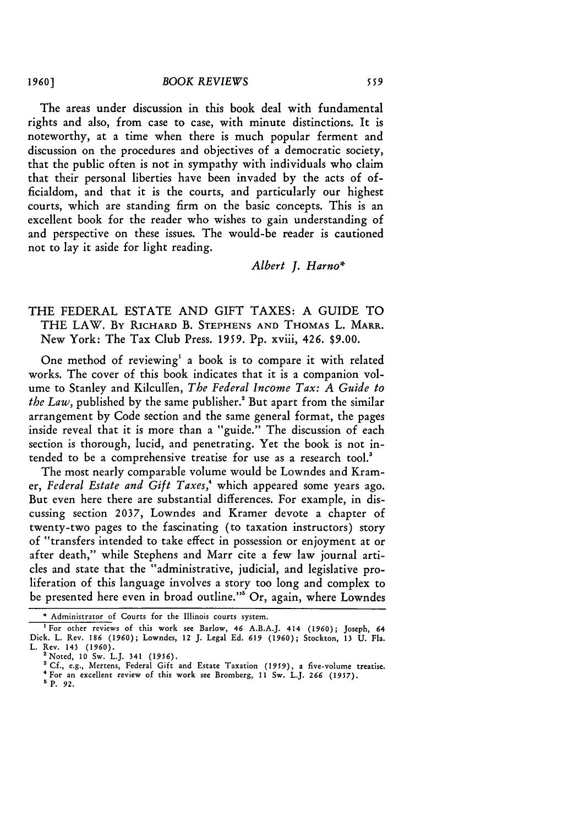The areas under discussion in this book deal with fundamental rights and also, from case to case, with minute distinctions. It is noteworthy, at a time when there is much popular ferment and discussion on the procedures and objectives of a democratic society, that the public often is not in sympathy with individuals who claim that their personal liberties have been invaded by the acts of officialdom, and that it is the courts, and particularly our highest courts, which are standing firm on the basic concepts. This is an excellent book for the reader who wishes to gain understanding of and perspective on these issues. The would-be reader is cautioned not to lay it aside for light reading.

#### *Albert J. Harno\**

#### THE FEDERAL ESTATE AND GIFT TAXES: A GUIDE TO THE LAW. By RICHARD B. **STEPHENS AND** THOMAS L. MARR. New York: The Tax Club Press. **1959.** Pp. xviii, 426. **\$9.00.**

One method of reviewing<sup>1</sup> a book is to compare it with related works. The cover of this book indicates that it is a companion volume to Stanley and Kilcullen, *The Federal Income Tax: A Guide to the Law*, published by the same publisher.<sup>2</sup> But apart from the similar arrangement by Code section and the same general format, the pages inside reveal that it is more than a "guide." The discussion of each section is thorough, lucid, and penetrating. Yet the book is not intended to be a comprehensive treatise for use as a research tool.'

The most nearly comparable volume would be Lowndes and Kramer, *Federal Estate and Gift Taxes,'* which appeared some years ago. But even here there are substantial differences. For example, in discussing section 2037, Lowndes and Kramer devote a chapter of twenty-two pages to the fascinating (to taxation instructors) story of "transfers intended to take effect in possession or enjoyment at or after death," while Stephens and Marr cite a few law journal articles and state that the "administrative, judicial, and legislative proliferation of this language involves a story too long and complex to be presented here even in broad outline."<sup>5</sup> Or, again, where Lowndes

- 'For **an** excellent review of this work see Bromberg, 11 Sw. L.J. **266** (1957). **'** P. **92.**
- 

**<sup>\*</sup>** Administrator of Courts for the Illinois courts system.

<sup>&#</sup>x27;For other reviews of this work see Barlow, 46 A.B.A.J. 414 **(1960);** Joseph, 64 Dick. L. Rev. **186 (1960);** Lowndes, 12 J. Legal Ed. **619 (1960);** Stockton, 13 **U.** Fla. L. Rev. 143 **(1960).**

<sup>&#</sup>x27;Noted, **10** Sw. L.J. 341 **(1956).**

<sup>&</sup>lt;sup>3</sup> Cf., e.g., Mertens, Federal Gift and Estate Taxation (1959), a five-volume treatise.